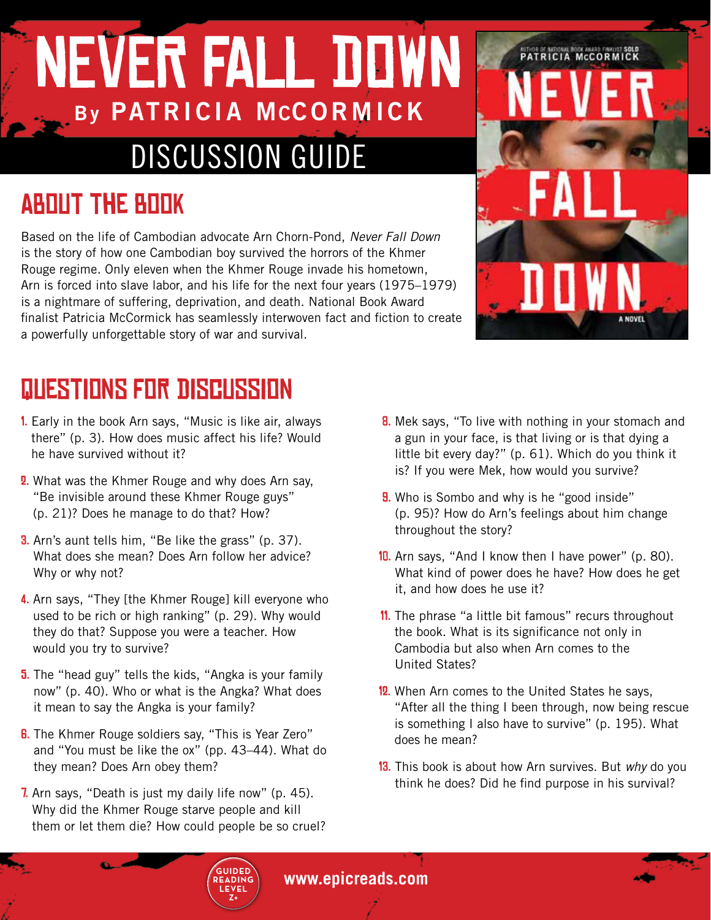# NEVER FALL DOWN **By PATRICIA MCCORMICK** DISCUSSION GUIDE

## About the Book

Based on the life of Cambodian advocate Arn Chorn-Pond, *Never Fall Down* is the story of how one Cambodian boy survived the horrors of the Khmer Rouge regime. Only eleven when the Khmer Rouge invade his hometown, Arn is forced into slave labor, and his life for the next four years (1975–1979) is a nightmare of suffering, deprivation, and death. National Book Award finalist Patricia McCormick has seamlessly interwoven fact and fiction to create a powerfully unforgettable story of war and survival.



- 1. Early in the book Arn says, "Music is like air, always there" (p. 3). How does music affect his life? Would he have survived without it?
- 2. What was the Khmer Rouge and why does Arn say, "Be invisible around these Khmer Rouge guys" (p. 21)? Does he manage to do that? How?
- **3.** Arn's aunt tells him, "Be like the grass" (p. 37). What does she mean? Does Arn follow her advice? Why or why not?
- 4. Arn says, "They [the Khmer Rouge] kill everyone who used to be rich or high ranking" (p. 29). Why would they do that? Suppose you were a teacher. How would you try to survive?
- **5.** The "head guy" tells the kids, "Angka is your family now" (p. 40). Who or what is the Angka? What does it mean to say the Angka is your family?
- **6.** The Khmer Rouge soldiers say, "This is Year Zero" and "You must be like the ox" (pp. 43–44). What do they mean? Does Arn obey them?
- 7. Arn says, "Death is just my daily life now" (p. 45). Why did the Khmer Rouge starve people and kill them or let them die? How could people be so cruel?

**8.** Mek says, "To live with nothing in your stomach and a gun in your face, is that living or is that dying a little bit every day?" (p. 61). Which do you think it is? If you were Mek, how would you survive?

**MTHOR MELLIA MCCORMICK** 

- **9.** Who is Sombo and why is he "good inside" (p. 95)? How do Arn's feelings about him change throughout the story?
- 10. Arn says, "And I know then I have power" (p. 80). What kind of power does he have? How does he get it, and how does he use it?
- 11. The phrase "a little bit famous" recurs throughout the book. What is its significance not only in Cambodia but also when Arn comes to the United States?
- 12. When Arn comes to the United States he says, "After all the thing I been through, now being rescue is something I also have to survive" (p. 195). What does he mean?
- 13. This book is about how Arn survives. But *why* do you think he does? Did he find purpose in his survival?